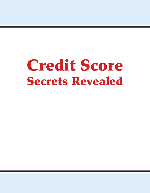# Credit Score Secrets Revealed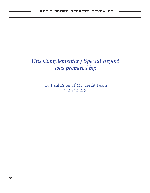# *This Complementary Special Report was prepared by:*

By Paul Ritter of My Credit Team 412 242-2733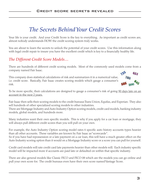# *The Secrets Behind Your Credit Scores*

Your life is your credit. And your Credit Score is the key to everything. As important as credit scores are, almost nobody understands HOW the credit scoring system truly works.

You are about to learn the secrets to unlock the potential of your credit scores. Use this information along with legal credit repair to insure you have the excellent credit which is key to a financially healthy life.

## *The Different Credit Score Models…*

There are hundreds of different credit scoring models. Most of the commonly used models come from a company named Fair Isaac.

This company does statistical calculations of risk and summarizes it in a numerical value, i.e. credit score. Basically, Fair Isaac creates scoring models which gauge a consumer's risk.



To be more specific, their calculations are designed to gauge a consumer's risk of going 90 days late on an account in the next 2 years.

Fair Isaac then sells their scoring models to the credit bureaus Trans Union, Equifax, and Experian. They also sell hundreds of other specialized scoring models to other industries.

There are Mortgage Industry and Auto Industry Option scoring models, credit card models, banking industry models, global models, and hundreds more.

Many industries want their own specific models. This is why if you apply for a car loan or mortgage, they will always pull different credit scores than you will pull on your own.

For example, the Auto Industry Option scoring model rates 6 specific auto history accounts types heavier than all other accounts. These variables are known by Fair Isaac as "scorecards".

So if you have had repossession or a late payment on a car loan, this will have a much greater effect on the Auto Industry scoring option than it would on a Mortgage Industry score or a score you can pull for yourself.

Credit card models will rate credit card late payments heavier than other models will. Each industry specific model will be impacted more if accounts are paid late or defaulted on within that specific industry.

There are also general models like Classic FICO and FICO 08 which are the models you can go online and pull your own score for. The credit bureaus even have their own score named Vantage Score.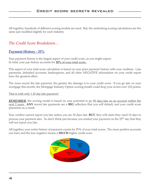All together, hundreds of different scoring models are used. But, the underlying scoring calculations are the same just modified slightly for each industry.

## *The Credit Score Breakdown…*

#### **Payment History - 35%**

Your payment history is the largest aspect of your credit score, as you might expect. In total, your pay history accounts for **35%** of your total score.

This aspect of your total score calculation is based on your prior payment history with your creditors. Late payments, defaulted accounts, bankruptcies, and all other *NEGATIVE* information on your credit report have the greatest effect.

The more recent the late payment, the greater the damage is to your credit score. If you go late on your mortgage this month, the Mortgage Industry Option scoring model could drop your scores over 120 points.

That is with only 1 30 day late payment!

*REMEMBER*, the scoring model is based on your potential to go 20 days late on an account within the next 2 years. **ANY** recent late payments are a **BIG** reflection that you will default, and your credit score plummets as a result.

Your creditor cannot report you late unless you are 30 days late. **BUT**, they will claim they need 10 days to process your payment also. So don't think just because you mailed your payment on the 25<sup>th</sup> day that they will not report you late.

All together, your entire history of payment counts for 35% of your total scores. The more positive accounts you have and the less negative means a **MUCH** higher credit score.

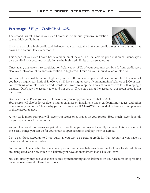#### **Percentage of High - Credit Used - 30%**

The second largest factor in your credit scores is the amount you owe in relation to your high credit limits.



If you are carrying high credit card balances, you can actually hurt your credit scores almost as much as paying the account late every month.

This aspect of your credit score has several different factors. The first factor is your relation of balances you owe on all of your accounts in relation to the high credit limits on those accounts.

Once again, this takes into consideration balances on **ALL** of your accounts combined. Your credit score also takes into account balances in relation to high credit limits on your <u>individual accounts</u> also.

For example, you will be scored higher if you owe 30% or less on your credit card accounts. This means if you have a high credit limit of \$1,000 you will have a higher score if you maintain a balance of \$300 or less. For revolving accounts such as credit cards, you want to keep the smallest balances while still keeping a balance. Don't pay the account to 0, and not use it. If you stop using the account, your credit score is not increasing.

Pay it as close to 1% as you can, but make sure you keep your balances below 30%.

Your scores will also be lower due to higher balances on installment loans, car loans, mortgages, and other non revolving accounts. This is why your credit scores will **ALWAYS** be immediately lower if you open any of these accounts new.

A new car loan for example, will lower your scores once it goes on your report. How much lower depends on your spread of other accounts.

As your loans and mortgages are paid down over time, your scores will steadily increase. This is why one of the **BEST** things you can do for your credit is open accounts, and pay them as agreed.

Don't pay those accounts to 0 too quick as you won't be getting credit for that account if you have no balance and no payments due.

Your score will be affected by now many open accounts have balances, how much of your total credit lines are being used, and how much of a balance you have on installment loans, like car loans.

You can directly improve your credit scores by maintaining lower balances on your accounts or spreading balances over several different accounts.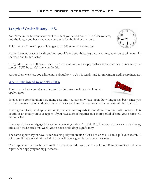### **Length of Credit History - 15%**

Your "time in the bureau" accounts for 15% of your credit score. The older you are, and the longer you have had credit accounts for, the higher the score.

This is why it is near impossible to get to an 800 score at a young age.

As you have more accounts throughout your life and your history grows over time, your scores will naturally increase due to this factor.

Being added as an authorized user to an account with a long pay history is another pay to increase your scores. **BUT**, be careful how you do this.

As our client we show you a little more about how to do this legally and for maximum credit score increase.

#### **Accumulation of new debt - 10%**

This aspect of your credit score is comprised of how much new debt you are applying for.

It takes into consideration how many accounts you currently have open, how long it has been since you opened a new account, and how many requests you have for new credit within a 12 month time period.

If you go out today and apply for credit, that creditor requests information from the credit bureaus. This counts as an inquiry on your report. If you have a lot of inquiries in a short period of time, your scores will be impacted.

If you apply for a mortgage today, your scores might drop 1 point. But, if you apply for a car, a mortgage, and a few credit cards this week, your scores could drop significantly.

The same applies if you have 12 car dealers pull your credit, **OR** if 1 dealer has 12 banks pull your credit. A lot of credit pulls in a short period of time will have a great impact on your scores.

Don't apply for too much new credit in a short period. And don't let a lot of different creditors pull your report while applying for big purchases.